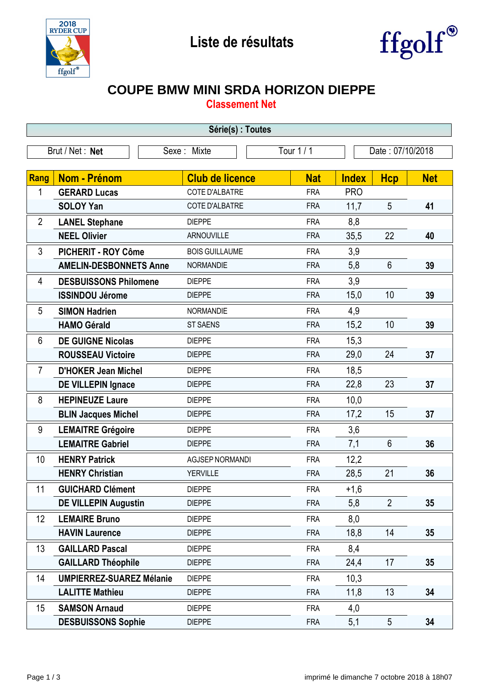



## **COUPE BMW MINI SRDA HORIZON DIEPPE**

**Classement Net**

| Série(s) : Toutes |                                 |                        |            |                  |                |            |  |
|-------------------|---------------------------------|------------------------|------------|------------------|----------------|------------|--|
| Brut / Net: Net   |                                 | Sexe: Mixte            | Tour 1 / 1 | Date: 07/10/2018 |                |            |  |
|                   |                                 |                        |            |                  |                |            |  |
| Rang              | <b>Nom - Prénom</b>             | <b>Club de licence</b> | <b>Nat</b> | <b>Index</b>     | <b>Hcp</b>     | <b>Net</b> |  |
| 1                 | <b>GERARD Lucas</b>             | <b>COTE D'ALBATRE</b>  | <b>FRA</b> | <b>PRO</b>       |                |            |  |
|                   | <b>SOLOY Yan</b>                | COTE D'ALBATRE         | <b>FRA</b> | 11,7             | 5              | 41         |  |
| $\overline{2}$    | <b>LANEL Stephane</b>           | <b>DIEPPE</b>          | <b>FRA</b> | 8,8              |                |            |  |
|                   | <b>NEEL Olivier</b>             | <b>ARNOUVILLE</b>      | <b>FRA</b> | 35,5             | 22             | 40         |  |
| 3                 | <b>PICHERIT - ROY Côme</b>      | <b>BOIS GUILLAUME</b>  | <b>FRA</b> | 3,9              |                |            |  |
|                   | <b>AMELIN-DESBONNETS Anne</b>   | <b>NORMANDIE</b>       | <b>FRA</b> | 5,8              | $6\phantom{.}$ | 39         |  |
| 4                 | <b>DESBUISSONS Philomene</b>    | <b>DIEPPE</b>          | <b>FRA</b> | 3,9              |                |            |  |
|                   | <b>ISSINDOU Jérome</b>          | <b>DIEPPE</b>          | <b>FRA</b> | 15,0             | 10             | 39         |  |
| 5                 | <b>SIMON Hadrien</b>            | NORMANDIE              | <b>FRA</b> | 4,9              |                |            |  |
|                   | <b>HAMO Gérald</b>              | <b>ST SAENS</b>        | <b>FRA</b> | 15,2             | 10             | 39         |  |
| 6                 | <b>DE GUIGNE Nicolas</b>        | <b>DIEPPE</b>          | <b>FRA</b> | 15,3             |                |            |  |
|                   | <b>ROUSSEAU Victoire</b>        | <b>DIEPPE</b>          | <b>FRA</b> | 29,0             | 24             | 37         |  |
| $\overline{7}$    | <b>D'HOKER Jean Michel</b>      | <b>DIEPPE</b>          | <b>FRA</b> | 18,5             |                |            |  |
|                   | <b>DE VILLEPIN Ignace</b>       | <b>DIEPPE</b>          | <b>FRA</b> | 22,8             | 23             | 37         |  |
| 8                 | <b>HEPINEUZE Laure</b>          | <b>DIEPPE</b>          | <b>FRA</b> | 10,0             |                |            |  |
|                   | <b>BLIN Jacques Michel</b>      | <b>DIEPPE</b>          | <b>FRA</b> | 17,2             | 15             | 37         |  |
| 9                 | <b>LEMAITRE Grégoire</b>        | <b>DIEPPE</b>          | <b>FRA</b> | 3,6              |                |            |  |
|                   | <b>LEMAITRE Gabriel</b>         | <b>DIEPPE</b>          | <b>FRA</b> | 7,1              | $6\phantom{1}$ | 36         |  |
| 10                | <b>HENRY Patrick</b>            | <b>AGJSEP NORMANDI</b> | <b>FRA</b> | 12,2             |                |            |  |
|                   | <b>HENRY Christian</b>          | <b>YERVILLE</b>        | <b>FRA</b> | 28,5             | 21             | 36         |  |
| 11                | <b>GUICHARD Clément</b>         | <b>DIEPPE</b>          | <b>FRA</b> | $+1,6$           |                |            |  |
|                   | <b>DE VILLEPIN Augustin</b>     | <b>DIEPPE</b>          | <b>FRA</b> | 5,8              | $\overline{2}$ | 35         |  |
| 12                | <b>LEMAIRE Bruno</b>            | <b>DIEPPE</b>          | <b>FRA</b> | 8,0              |                |            |  |
|                   | <b>HAVIN Laurence</b>           | <b>DIEPPE</b>          | <b>FRA</b> | 18,8             | 14             | 35         |  |
| 13                | <b>GAILLARD Pascal</b>          | <b>DIEPPE</b>          | <b>FRA</b> | 8,4              |                |            |  |
|                   | <b>GAILLARD Théophile</b>       | <b>DIEPPE</b>          | <b>FRA</b> | 24,4             | 17             | 35         |  |
| 14                | <b>UMPIERREZ-SUAREZ Mélanie</b> | <b>DIEPPE</b>          | <b>FRA</b> | 10,3             |                |            |  |
|                   | <b>LALITTE Mathieu</b>          | <b>DIEPPE</b>          | <b>FRA</b> | 11,8             | 13             | 34         |  |
| 15                | <b>SAMSON Arnaud</b>            | <b>DIEPPE</b>          | <b>FRA</b> | 4,0              |                |            |  |
|                   | <b>DESBUISSONS Sophie</b>       | <b>DIEPPE</b>          | <b>FRA</b> | 5,1              | 5              | 34         |  |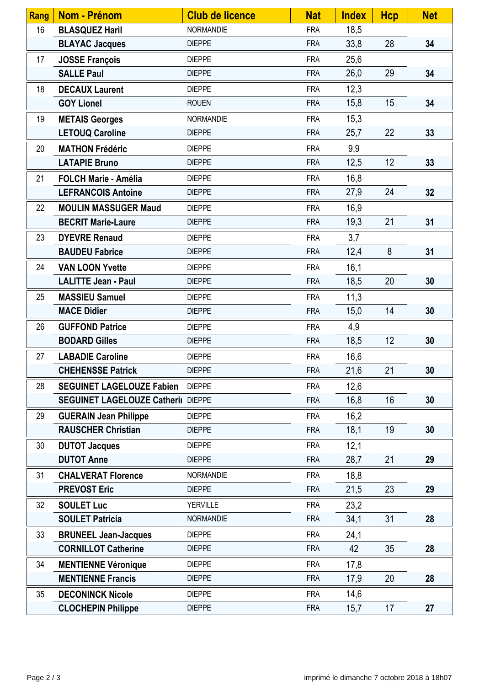| <b>Rang</b> | <b>Nom - Prénom</b>                | <b>Club de licence</b> | <b>Nat</b> | <b>Index</b> | <b>Hcp</b> | <b>Net</b> |
|-------------|------------------------------------|------------------------|------------|--------------|------------|------------|
| 16          | <b>BLASQUEZ Haril</b>              | <b>NORMANDIE</b>       | <b>FRA</b> | 18,5         |            |            |
|             | <b>BLAYAC Jacques</b>              | <b>DIEPPE</b>          | <b>FRA</b> | 33,8         | 28         | 34         |
| 17          | <b>JOSSE François</b>              | <b>DIEPPE</b>          | <b>FRA</b> | 25,6         |            |            |
|             | <b>SALLE Paul</b>                  | <b>DIEPPE</b>          | <b>FRA</b> | 26,0         | 29         | 34         |
| 18          | <b>DECAUX Laurent</b>              | <b>DIEPPE</b>          | <b>FRA</b> | 12,3         |            |            |
|             | <b>GOY Lionel</b>                  | <b>ROUEN</b>           | <b>FRA</b> | 15,8         | 15         | 34         |
| 19          | <b>METAIS Georges</b>              | <b>NORMANDIE</b>       | <b>FRA</b> | 15,3         |            |            |
|             | <b>LETOUQ Caroline</b>             | <b>DIEPPE</b>          | <b>FRA</b> | 25,7         | 22         | 33         |
| 20          | <b>MATHON Frédéric</b>             | <b>DIEPPE</b>          | <b>FRA</b> | 9,9          |            |            |
|             | <b>LATAPIE Bruno</b>               | <b>DIEPPE</b>          | <b>FRA</b> | 12,5         | 12         | 33         |
| 21          | <b>FOLCH Marie - Amélia</b>        | <b>DIEPPE</b>          | <b>FRA</b> | 16,8         |            |            |
|             | <b>LEFRANCOIS Antoine</b>          | <b>DIEPPE</b>          | <b>FRA</b> | 27,9         | 24         | 32         |
| 22          | <b>MOULIN MASSUGER Maud</b>        | <b>DIEPPE</b>          | <b>FRA</b> | 16,9         |            |            |
|             | <b>BECRIT Marie-Laure</b>          | <b>DIEPPE</b>          | <b>FRA</b> | 19,3         | 21         | 31         |
| 23          | <b>DYEVRE Renaud</b>               | <b>DIEPPE</b>          | <b>FRA</b> | 3,7          |            |            |
|             | <b>BAUDEU Fabrice</b>              | <b>DIEPPE</b>          | <b>FRA</b> | 12,4         | 8          | 31         |
| 24          | <b>VAN LOON Yvette</b>             | <b>DIEPPE</b>          | <b>FRA</b> | 16,1         |            |            |
|             | <b>LALITTE Jean - Paul</b>         | <b>DIEPPE</b>          | <b>FRA</b> | 18,5         | 20         | 30         |
| 25          | <b>MASSIEU Samuel</b>              | <b>DIEPPE</b>          | <b>FRA</b> | 11,3         |            |            |
|             | <b>MACE Didier</b>                 | <b>DIEPPE</b>          | <b>FRA</b> | 15,0         | 14         | 30         |
| 26          | <b>GUFFOND Patrice</b>             | <b>DIEPPE</b>          | <b>FRA</b> | 4,9          |            |            |
|             | <b>BODARD Gilles</b>               | <b>DIEPPE</b>          | <b>FRA</b> | 18,5         | 12         | 30         |
| 27          | <b>LABADIE Caroline</b>            | <b>DIEPPE</b>          | <b>FRA</b> | 16,6         |            |            |
|             | <b>CHEHENSSE Patrick</b>           | <b>DIEPPE</b>          | <b>FRA</b> | 21,6         | 21         | 30         |
| 28          | <b>SEGUINET LAGELOUZE Fabien</b>   | <b>DIEPPE</b>          | <b>FRA</b> | 12,6         |            |            |
|             | SEGUINET LAGELOUZE Catheril DIEPPE |                        | <b>FRA</b> | 16,8         | 16         | 30         |
| 29          | <b>GUERAIN Jean Philippe</b>       | <b>DIEPPE</b>          | <b>FRA</b> | 16,2         |            |            |
|             | <b>RAUSCHER Christian</b>          | <b>DIEPPE</b>          | <b>FRA</b> | 18,1         | 19         | 30         |
| 30          | <b>DUTOT Jacques</b>               | <b>DIEPPE</b>          | <b>FRA</b> | 12,1         |            |            |
|             | <b>DUTOT Anne</b>                  | <b>DIEPPE</b>          | <b>FRA</b> | 28,7         | 21         | 29         |
| 31          | <b>CHALVERAT Florence</b>          | NORMANDIE              | <b>FRA</b> | 18,8         |            |            |
|             | <b>PREVOST Eric</b>                | <b>DIEPPE</b>          | <b>FRA</b> | 21,5         | 23         | 29         |
| 32          | <b>SOULET Luc</b>                  | <b>YERVILLE</b>        | <b>FRA</b> | 23,2         |            |            |
|             | <b>SOULET Patricia</b>             | <b>NORMANDIE</b>       | <b>FRA</b> | 34,1         | 31         | 28         |
| 33          | <b>BRUNEEL Jean-Jacques</b>        | <b>DIEPPE</b>          | <b>FRA</b> | 24,1         |            |            |
|             | <b>CORNILLOT Catherine</b>         | <b>DIEPPE</b>          | <b>FRA</b> | 42           | 35         | 28         |
| 34          | <b>MENTIENNE Véronique</b>         | <b>DIEPPE</b>          | <b>FRA</b> | 17,8         |            |            |
|             | <b>MENTIENNE Francis</b>           | <b>DIEPPE</b>          | <b>FRA</b> | 17,9         | 20         | 28         |
| 35          | <b>DECONINCK Nicole</b>            | <b>DIEPPE</b>          | <b>FRA</b> | 14,6         |            |            |
|             | <b>CLOCHEPIN Philippe</b>          | <b>DIEPPE</b>          | <b>FRA</b> | 15,7         | 17         | 27         |